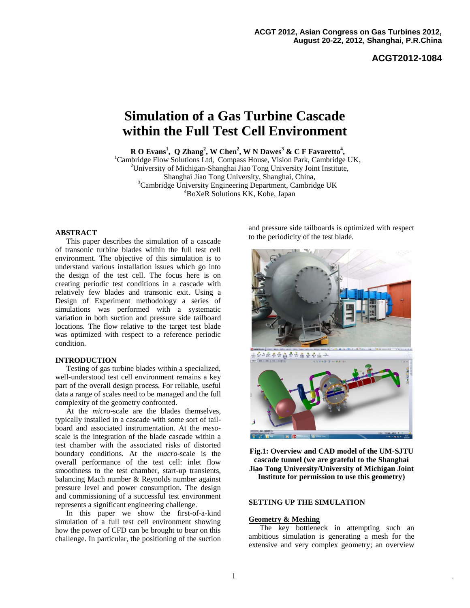**ACGT2012-1084**

# **Simulation of a Gas Turbine Cascade within the Full Test Cell Environment**

**R O Evans<sup>1</sup> , Q Zhang<sup>2</sup> , W Chen<sup>2</sup> , W N Dawes<sup>3</sup> & C F Favaretto<sup>4</sup> ,**

<sup>1</sup>Cambridge Flow Solutions Ltd, Compass House, Vision Park, Cambridge UK, <sup>2</sup>University of Michigan-Shanghai Jiao Tong University Joint Institute, Shanghai Jiao Tong University, Shanghai, China, <sup>3</sup>Cambridge University Engineering Department, Cambridge UK <sup>4</sup>BoXeR Solutions KK, Kobe, Japan

#### **ABSTRACT**

This paper describes the simulation of a cascade of transonic turbine blades within the full test cell environment. The objective of this simulation is to understand various installation issues which go into the design of the test cell. The focus here is on creating periodic test conditions in a cascade with relatively few blades and transonic exit. Using a Design of Experiment methodology a series of simulations was performed with a systematic variation in both suction and pressure side tailboard locations. The flow relative to the target test blade was optimized with respect to a reference periodic condition.

### **INTRODUCTION**

Testing of gas turbine blades within a specialized, well-understood test cell environment remains a key part of the overall design process. For reliable, useful data a range of scales need to be managed and the full complexity of the geometry confronted.

At the *micro*-scale are the blades themselves, typically installed in a cascade with some sort of tailboard and associated instrumentation. At the *meso*scale is the integration of the blade cascade within a test chamber with the associated risks of distorted boundary conditions. At the *macro*-scale is the overall performance of the test cell: inlet flow smoothness to the test chamber, start-up transients, balancing Mach number & Reynolds number against pressure level and power consumption. The design and commissioning of a successful test environment represents a significant engineering challenge.

In this paper we show the first-of-a-kind simulation of a full test cell environment showing how the power of CFD can be brought to bear on this challenge. In particular, the positioning of the suction and pressure side tailboards is optimized with respect to the periodicity of the test blade.



**Fig.1: Overview and CAD model of the UM-SJTU cascade tunnel (we are grateful to the Shanghai Jiao Tong University/University of Michigan Joint Institute for permission to use this geometry)**

# **SETTING UP THE SIMULATION**

## **Geometry & Meshing**

The key bottleneck in attempting such an ambitious simulation is generating a mesh for the extensive and very complex geometry; an overview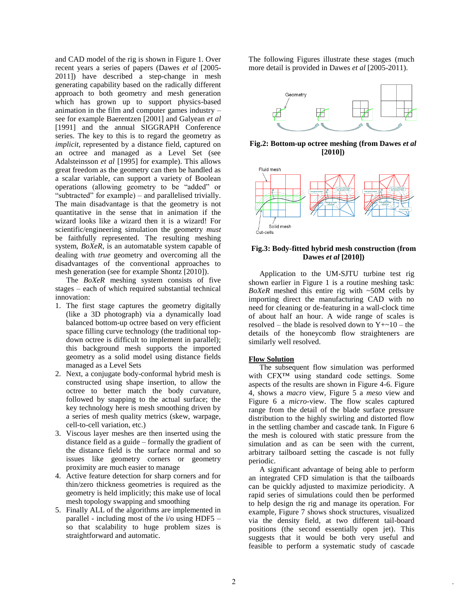and CAD model of the rig is shown in Figure 1. Over recent years a series of papers (Dawes *et al* [2005- 2011]) have described a step-change in mesh generating capability based on the radically different approach to both geometry and mesh generation which has grown up to support physics-based animation in the film and computer games industry – see for example Baerentzen [2001] and Galyean *et al* [1991] and the annual SIGGRAPH Conference series. The key to this is to regard the geometry as *implicit*, represented by a distance field, captured on an octree and managed as a Level Set (see Adalsteinsson *et al* [1995] for example). This allows great freedom as the geometry can then be handled as a scalar variable, can support a variety of Boolean operations (allowing geometry to be "added" or "subtracted" for example) – and parallelised trivially. The main disadvantage is that the geometry is not quantitative in the sense that in animation if the wizard looks like a wizard then it is a wizard! For scientific/engineering simulation the geometry *must* be faithfully represented. The resulting meshing system, *BoXeR*, is an automatable system capable of dealing with *true* geometry and overcoming all the disadvantages of the conventional approaches to mesh generation (see for example Shontz [2010]).

The *BoXeR* meshing system consists of five stages – each of which required substantial technical innovation:

- 1. The first stage captures the geometry digitally (like a 3D photograph) via a dynamically load balanced bottom-up octree based on very efficient space filling curve technology (the traditional topdown octree is difficult to implement in parallel); this background mesh supports the imported geometry as a solid model using distance fields managed as a Level Sets
- 2. Next, a conjugate body-conformal hybrid mesh is constructed using shape insertion, to allow the octree to better match the body curvature, followed by snapping to the actual surface; the key technology here is mesh smoothing driven by a series of mesh quality metrics (skew, warpage, cell-to-cell variation, etc.)
- 3. Viscous layer meshes are then inserted using the distance field as a guide – formally the gradient of the distance field is the surface normal and so issues like geometry corners or geometry proximity are much easier to manage
- 4. Active feature detection for sharp corners and for thin/zero thickness geometries is required as the geometry is held implicitly; this make use of local mesh topology swapping and smoothing
- 5. Finally ALL of the algorithms are implemented in parallel - including most of the i/o using HDF5 – so that scalability to huge problem sizes is straightforward and automatic.

The following Figures illustrate these stages (much more detail is provided in Dawes *et al* [2005-2011).



**Fig.2: Bottom-up octree meshing (from Dawes** *et al* **[2010])**



#### **Fig.3: Body-fitted hybrid mesh construction (from Dawes** *et al* **[2010])**

Application to the UM-SJTU turbine test rig shown earlier in Figure 1 is a routine meshing task: *BoXeR* meshed this entire rig with ~50M cells by importing direct the manufacturing CAD with no need for cleaning or de-featuring in a wall-clock time of about half an hour. A wide range of scales is resolved – the blade is resolved down to  $Y + \sim 10$  – the details of the honeycomb flow straighteners are similarly well resolved.

## **Flow Solution**

The subsequent flow simulation was performed with CFX™ using standard code settings. Some aspects of the results are shown in Figure 4-6. Figure 4, shows a *macro* view, Figure 5 a *meso* view and Figure 6 a *micro*-view. The flow scales captured range from the detail of the blade surface pressure distribution to the highly swirling and distorted flow in the settling chamber and cascade tank. In Figure 6 the mesh is coloured with static pressure from the simulation and as can be seen with the current, arbitrary tailboard setting the cascade is not fully periodic.

A significant advantage of being able to perform an integrated CFD simulation is that the tailboards can be quickly adjusted to maximize periodicity. A rapid series of simulations could then be performed to help design the rig and manage its operation. For example, Figure 7 shows shock structures, visualized via the density field, at two different tail-board positions (the second essentially open jet). This suggests that it would be both very useful and feasible to perform a systematic study of cascade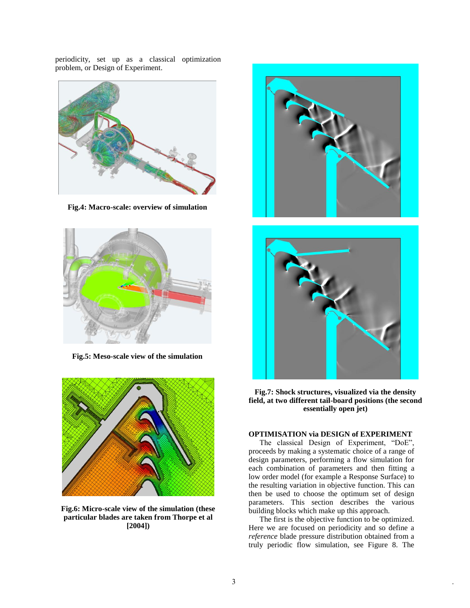periodicity, set up as a classical optimization problem, or Design of Experiment.



**Fig.4: Macro-scale: overview of simulation**



**Fig.5: Meso-scale view of the simulation**



**Fig.6: Micro-scale view of the simulation (these particular blades are taken from Thorpe et al [2004])**





**Fig.7: Shock structures, visualized via the density field, at two different tail-board positions (the second essentially open jet)**

## **OPTIMISATION via DESIGN of EXPERIMENT**

The classical Design of Experiment, "DoE", proceeds by making a systematic choice of a range of design parameters, performing a flow simulation for each combination of parameters and then fitting a low order model (for example a Response Surface) to the resulting variation in objective function. This can then be used to choose the optimum set of design parameters. This section describes the various building blocks which make up this approach.

The first is the objective function to be optimized. Here we are focused on periodicity and so define a *reference* blade pressure distribution obtained from a truly periodic flow simulation, see Figure 8. The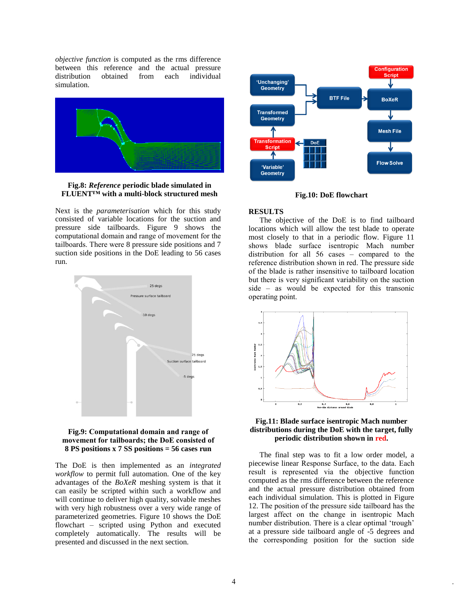*objective function* is computed as the rms difference between this reference and the actual pressure distribution obtained from each individual simulation.



**Fig.8:** *Reference* **periodic blade simulated in FLUENT™ with a multi-block structured mesh**

Next is the *parameterisation* which for this study consisted of variable locations for the suction and pressure side tailboards. Figure 9 shows the computational domain and range of movement for the tailboards. There were 8 pressure side positions and 7 suction side positions in the DoE leading to 56 cases run.





The DoE is then implemented as an *integrated workflow* to permit full automation. One of the key advantages of the *BoXeR* meshing system is that it can easily be scripted within such a workflow and will continue to deliver high quality, solvable meshes with very high robustness over a very wide range of parameterized geometries. Figure 10 shows the DoE flowchart – scripted using Python and executed completely automatically. The results will be presented and discussed in the next section.



**Fig.10: DoE flowchart**

## **RESULTS**

The objective of the DoE is to find tailboard locations which will allow the test blade to operate most closely to that in a periodic flow. Figure 11 shows blade surface isentropic Mach number distribution for all 56 cases – compared to the reference distribution shown in red. The pressure side of the blade is rather insensitive to tailboard location but there is very significant variability on the suction side – as would be expected for this transonic operating point.



#### **Fig.11: Blade surface isentropic Mach number distributions during the DoE with the target, fully periodic distribution shown in red.**

The final step was to fit a low order model, a piecewise linear Response Surface, to the data. Each result is represented via the objective function computed as the rms difference between the reference and the actual pressure distribution obtained from each individual simulation. This is plotted in Figure 12. The position of the pressure side tailboard has the largest affect on the change in isentropic Mach number distribution. There is a clear optimal 'trough' at a pressure side tailboard angle of -5 degrees and the corresponding position for the suction side